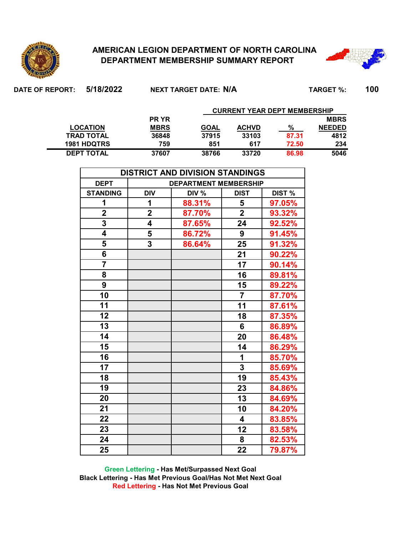

**DEPT TOTAL**

## **AMERICAN LEGION DEPARTMENT OF NORTH CAROLINA DEPARTMENT MEMBERSHIP SUMMARY REPORT**

**759 851 617 72.50 234 37607 38766 33720 86.98 5046**



| DATE OF REPORT: | 5/18/2022          |             | NEXT TARGET DATE: N/A |                                     |       | <b>TARGET %:</b> | 100 |
|-----------------|--------------------|-------------|-----------------------|-------------------------------------|-------|------------------|-----|
|                 |                    |             |                       | <b>CURRENT YEAR DEPT MEMBERSHIP</b> |       |                  |     |
|                 |                    | <b>PRYR</b> |                       |                                     |       | <b>MBRS</b>      |     |
|                 | <b>LOCATION</b>    | <b>MBRS</b> | GOAL                  | <b>ACHVD</b>                        | %     | <b>NEEDED</b>    |     |
|                 | <b>TRAD TOTAL</b>  | 36848       | 37915                 | 33103                               | 87.31 | 4812             |     |
|                 | <b>1981 HDQTRS</b> | 759         | 851                   | 617                                 | 72.50 | 234              |     |

|                         |                         | <b>DISTRICT AND DIVISION STANDINGS</b> |                         |        |
|-------------------------|-------------------------|----------------------------------------|-------------------------|--------|
| <b>DEPT</b>             |                         | <b>DEPARTMENT MEMBERSHIP</b>           |                         |        |
| <b>STANDING</b>         | <b>DIV</b>              | DIV %                                  | <b>DIST</b>             | DIST % |
| 1                       | 1                       | 88.31%                                 | 5                       | 97.05% |
| $\overline{\mathbf{2}}$ | $\overline{\mathbf{2}}$ | 87.70%                                 | $\overline{2}$          | 93.32% |
| $\overline{\mathbf{3}}$ | 4                       | 87.65%                                 | 24                      | 92.52% |
| 4                       | 5                       | 86.72%                                 | $\boldsymbol{9}$        | 91.45% |
| 5                       | $\overline{\mathbf{3}}$ | 86.64%                                 | 25                      | 91.32% |
| 6                       |                         |                                        | 21                      | 90.22% |
| $\overline{\mathbf{7}}$ |                         |                                        | 17                      | 90.14% |
| 8                       |                         |                                        | 16                      | 89.81% |
| 9                       |                         |                                        | 15                      | 89.22% |
| 10                      |                         |                                        | $\overline{7}$          | 87.70% |
| 11                      |                         |                                        | 11                      | 87.61% |
| 12                      |                         |                                        | 18                      | 87.35% |
| 13                      |                         |                                        | 6                       | 86.89% |
| 14                      |                         |                                        | 20                      | 86.48% |
| 15                      |                         |                                        | 14                      | 86.29% |
| 16                      |                         |                                        | 1                       | 85.70% |
| 17                      |                         |                                        | $\overline{\mathbf{3}}$ | 85.69% |
| 18                      |                         |                                        | 19                      | 85.43% |
| 19                      |                         |                                        | 23                      | 84.86% |
| 20                      |                         |                                        | 13                      | 84.69% |
| 21                      |                         |                                        | 10                      | 84.20% |
| 22                      |                         |                                        | $\overline{\mathbf{4}}$ | 83.85% |
| 23                      |                         |                                        | 12                      | 83.58% |
| 24                      |                         |                                        | 8                       | 82.53% |
| 25                      |                         |                                        | 22                      | 79.87% |

**Green Lettering - Has Met/Surpassed Next Goal Black Lettering - Has Met Previous Goal/Has Not Met Next Goal Red Lettering - Has Not Met Previous Goal**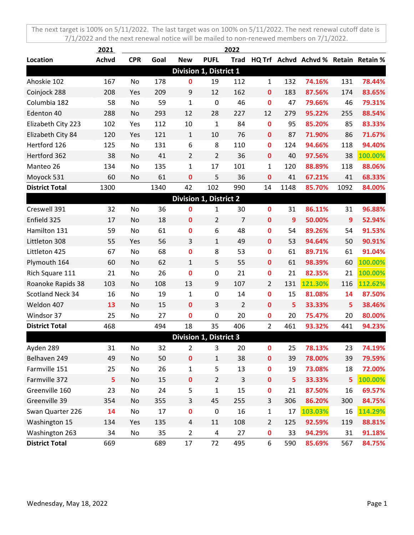|                         | 2021         |            |      |                               |                  | 2022           |                  |              |                                      |                |         |
|-------------------------|--------------|------------|------|-------------------------------|------------------|----------------|------------------|--------------|--------------------------------------|----------------|---------|
| Location                | <b>Achvd</b> | <b>CPR</b> | Goal | <b>New</b>                    | <b>PUFL</b>      | <b>Trad</b>    |                  |              | HQ Trf Achvd Achvd % Retain Retain % |                |         |
|                         |              |            |      | Division 1, District 1        |                  |                |                  |              |                                      |                |         |
| Ahoskie 102             | 167          | No         | 178  | 0                             | 19               | 112            | $\mathbf{1}$     | 132          | 74.16%                               | 131            | 78.44%  |
| Coinjock 288            | 208          | Yes        | 209  | 9                             | 12               | 162            | $\mathbf 0$      | 183          | 87.56%                               | 174            | 83.65%  |
| Columbia 182            | 58           | No         | 59   | 1                             | $\mathbf 0$      | 46             | $\mathbf 0$      | 47           | 79.66%                               | 46             | 79.31%  |
| Edenton 40              | 288          | No         | 293  | 12                            | 28               | 227            | 12               | 279          | 95.22%                               | 255            | 88.54%  |
| Elizabeth City 223      | 102          | Yes        | 112  | 10                            | $\mathbf{1}$     | 84             | $\mathbf 0$      | 95           | 85.20%                               | 85             | 83.33%  |
| Elizabeth City 84       | 120          | Yes        | 121  | $\mathbf{1}$                  | 10               | 76             | $\mathbf 0$      | 87           | 71.90%                               | 86             | 71.67%  |
| Hertford 126            | 125          | No         | 131  | 6                             | 8                | 110            | $\mathbf 0$      | 124          | 94.66%                               | 118            | 94.40%  |
| Hertford 362            | 38           | No         | 41   | $\overline{2}$                | $\overline{2}$   | 36             | $\mathbf 0$      | 40           | 97.56%                               | 38             | 100.00% |
| Manteo 26               | 134          | No         | 135  | 1                             | 17               | 101            | $\mathbf{1}$     | 120          | 88.89%                               | 118            | 88.06%  |
| Moyock 531              | 60           | No         | 61   | 0                             | 5                | 36             | 0                | 41           | 67.21%                               | 41             | 68.33%  |
| <b>District Total</b>   | 1300         |            | 1340 | 42                            | 102              | 990            | 14               | 1148         | 85.70%                               | 1092           | 84.00%  |
|                         |              |            |      | <b>Division 1, District 2</b> |                  |                |                  |              |                                      |                |         |
| Creswell 391            | 32           | No         | 36   | 0                             | 1                | 30             | $\mathbf 0$      | 31           | 86.11%                               | 31             | 96.88%  |
| Enfield 325             | 17           | No         | 18   | $\mathbf 0$                   | $\overline{2}$   | $\overline{7}$ | $\mathbf 0$      | $\mathbf{9}$ | 50.00%                               | $\overline{9}$ | 52.94%  |
| Hamilton 131            | 59           | No         | 61   | 0                             | 6                | 48             | $\mathbf 0$      | 54           | 89.26%                               | 54             | 91.53%  |
| Littleton 308           | 55           | Yes        | 56   | 3                             | $\mathbf{1}$     | 49             | $\mathbf 0$      | 53           | 94.64%                               | 50             | 90.91%  |
| Littleton 425           | 67           | No         | 68   | 0                             | 8                | 53             | $\mathbf 0$      | 61           | 89.71%                               | 61             | 91.04%  |
| Plymouth 164            | 60           | No         | 62   | 1                             | 5                | 55             | $\mathbf 0$      | 61           | 98.39%                               | 60             | 100.00% |
| Rich Square 111         | 21           | No         | 26   | $\mathbf 0$                   | $\pmb{0}$        | 21             | $\mathbf 0$      | 21           | 82.35%                               | 21             | 100.00% |
| Roanoke Rapids 38       | 103          | No         | 108  | 13                            | 9                | 107            | $\overline{2}$   | 131          | 121.30%                              | 116            | 112.62% |
| <b>Scotland Neck 34</b> | 16           | No         | 19   | 1                             | $\boldsymbol{0}$ | 14             | $\mathbf 0$      | 15           | 81.08%                               | 14             | 87.50%  |
| Weldon 407              | 13           | No         | 15   | $\mathbf 0$                   | 3                | 2              | $\mathbf 0$      | 5            | 33.33%                               | 5              | 38.46%  |
| Windsor 37              | 25           | No         | 27   | 0                             | $\pmb{0}$        | 20             | $\mathbf 0$      | 20           | 75.47%                               | 20             | 80.00%  |
| <b>District Total</b>   | 468          |            | 494  | 18                            | 35               | 406            | $\overline{2}$   | 461          | 93.32%                               | 441            | 94.23%  |
|                         |              |            |      | <b>Division 1, District 3</b> |                  |                |                  |              |                                      |                |         |
| Ayden 289               | 31           | No         | 32   | 2                             | 3                | 20             | 0                | 25           | 78.13%                               | 23             | 74.19%  |
| Belhaven 249            | 49           | No         | 50   | $\pmb{0}$                     | $\mathbf{1}$     | 38             | $\pmb{0}$        | 39           | 78.00%                               | 39             | 79.59%  |
| Farmville 151           | 25           | No         | 26   | 1                             | 5                | 13             | $\mathbf 0$      | 19           | 73.08%                               | 18             | 72.00%  |
| Farmville 372           | 5            | No         | 15   | $\mathbf 0$                   | $\overline{2}$   | 3              | $\pmb{0}$        | 5            | 33.33%                               | 5              | 100.00% |
| Greenville 160          | 23           | No         | 24   | 5                             | $\mathbf 1$      | 15             | $\pmb{0}$        | 21           | 87.50%                               | 16             | 69.57%  |
| Greenville 39           | 354          | No         | 355  | 3                             | 45               | 255            | 3                | 306          | 86.20%                               | 300            | 84.75%  |
| Swan Quarter 226        | 14           | No         | 17   | $\mathbf 0$                   | $\pmb{0}$        | 16             | $\mathbf 1$      | 17           | 103.03%                              | 16             | 114.29% |
| Washington 15           | 134          | Yes        | 135  | 4                             | 11               | 108            | $\overline{2}$   | 125          | 92.59%                               | 119            | 88.81%  |
| Washington 263          | 34           | No         | 35   | 2                             | 4                | 27             | $\boldsymbol{0}$ | 33           | 94.29%                               | 31             | 91.18%  |
| <b>District Total</b>   | 669          |            | 689  | 17                            | 72               | 495            | 6                | 590          | 85.69%                               | 567            | 84.75%  |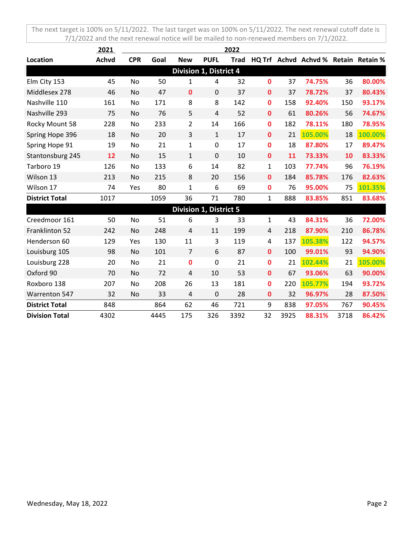|                       | 2021         |            |      |                         |                               | 2022        |              |      |                                      |      |         |
|-----------------------|--------------|------------|------|-------------------------|-------------------------------|-------------|--------------|------|--------------------------------------|------|---------|
| Location              | <b>Achvd</b> | <b>CPR</b> | Goal | <b>New</b>              | <b>PUFL</b>                   | <b>Trad</b> |              |      | HQ Trf Achvd Achvd % Retain Retain % |      |         |
|                       |              |            |      |                         | Division 1, District 4        |             |              |      |                                      |      |         |
| Elm City 153          | 45           | No         | 50   | 1                       | $\overline{4}$                | 32          | $\mathbf{0}$ | 37   | 74.75%                               | 36   | 80.00%  |
| Middlesex 278         | 46           | No         | 47   | $\mathbf 0$             | $\mathbf 0$                   | 37          | $\mathbf 0$  | 37   | 78.72%                               | 37   | 80.43%  |
| Nashville 110         | 161          | No         | 171  | 8                       | 8                             | 142         | $\mathbf 0$  | 158  | 92.40%                               | 150  | 93.17%  |
| Nashville 293         | 75           | No         | 76   | 5                       | $\overline{4}$                | 52          | $\mathbf{0}$ | 61   | 80.26%                               | 56   | 74.67%  |
| Rocky Mount 58        | 228          | No         | 233  | $\overline{2}$          | 14                            | 166         | 0            | 182  | 78.11%                               | 180  | 78.95%  |
| Spring Hope 396       | 18           | No         | 20   | 3                       | $\mathbf{1}$                  | 17          | $\mathbf 0$  | 21   | 105.00%                              | 18   | 100.00% |
| Spring Hope 91        | 19           | No         | 21   | 1                       | $\pmb{0}$                     | 17          | 0            | 18   | 87.80%                               | 17   | 89.47%  |
| Stantonsburg 245      | 12           | No         | 15   | $\mathbf{1}$            | $\mathbf 0$                   | 10          | $\bf{0}$     | 11   | 73.33%                               | 10   | 83.33%  |
| Tarboro 19            | 126          | No         | 133  | 6                       | 14                            | 82          | 1            | 103  | 77.74%                               | 96   | 76.19%  |
| Wilson 13             | 213          | No         | 215  | 8                       | 20                            | 156         | $\mathbf 0$  | 184  | 85.78%                               | 176  | 82.63%  |
| Wilson 17             | 74           | Yes        | 80   | 1                       | 6                             | 69          | 0            | 76   | 95.00%                               | 75   | 101.35% |
| <b>District Total</b> | 1017         |            | 1059 | 36                      | 71                            | 780         | 1            | 888  | 83.85%                               | 851  | 83.68%  |
|                       |              |            |      |                         | <b>Division 1, District 5</b> |             |              |      |                                      |      |         |
| Creedmoor 161         | 50           | No         | 51   | 6                       | 3                             | 33          | $\mathbf{1}$ | 43   | 84.31%                               | 36   | 72.00%  |
| Franklinton 52        | 242          | No         | 248  | 4                       | 11                            | 199         | 4            | 218  | 87.90%                               | 210  | 86.78%  |
| Henderson 60          | 129          | Yes        | 130  | 11                      | 3                             | 119         | 4            | 137  | 105.38%                              | 122  | 94.57%  |
| Louisburg 105         | 98           | No         | 101  | $\overline{7}$          | 6                             | 87          | 0            | 100  | 99.01%                               | 93   | 94.90%  |
| Louisburg 228         | 20           | No         | 21   | 0                       | $\mathbf 0$                   | 21          | $\mathbf{0}$ | 21   | 102.44%                              | 21   | 105.00% |
| Oxford 90             | 70           | No         | 72   | $\overline{\mathbf{4}}$ | 10                            | 53          | 0            | 67   | 93.06%                               | 63   | 90.00%  |
| Roxboro 138           | 207          | No         | 208  | 26                      | 13                            | 181         | 0            | 220  | 105.77%                              | 194  | 93.72%  |
| <b>Warrenton 547</b>  | 32           | <b>No</b>  | 33   | 4                       | $\mathbf 0$                   | 28          | 0            | 32   | 96.97%                               | 28   | 87.50%  |
| <b>District Total</b> | 848          |            | 864  | 62                      | 46                            | 721         | 9            | 838  | 97.05%                               | 767  | 90.45%  |
| <b>Division Total</b> | 4302         |            | 4445 | 175                     | 326                           | 3392        | 32           | 3925 | 88.31%                               | 3718 | 86.42%  |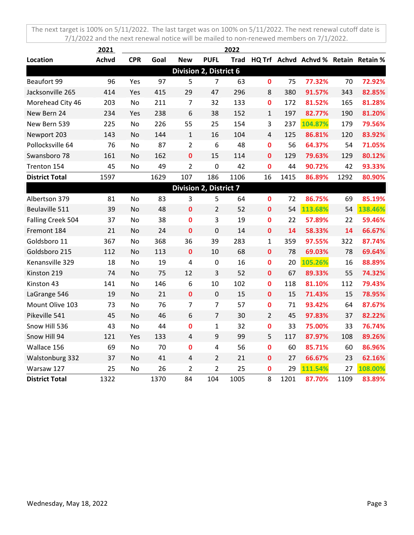|                       | 2021         |            |      |                         |                               | 2022 |                |      |                                           |      |         |
|-----------------------|--------------|------------|------|-------------------------|-------------------------------|------|----------------|------|-------------------------------------------|------|---------|
| Location              | <b>Achvd</b> | <b>CPR</b> | Goal | <b>New</b>              | <b>PUFL</b>                   |      |                |      | Trad HQ Trf Achvd Achvd % Retain Retain % |      |         |
|                       |              |            |      |                         | <b>Division 2, District 6</b> |      |                |      |                                           |      |         |
| Beaufort 99           | 96           | Yes        | 97   | 5                       | $\overline{7}$                | 63   | $\mathbf 0$    | 75   | 77.32%                                    | 70   | 72.92%  |
| Jacksonville 265      | 414          | Yes        | 415  | 29                      | 47                            | 296  | 8              | 380  | 91.57%                                    | 343  | 82.85%  |
| Morehead City 46      | 203          | No         | 211  | 7                       | 32                            | 133  | $\mathbf 0$    | 172  | 81.52%                                    | 165  | 81.28%  |
| New Bern 24           | 234          | Yes        | 238  | 6                       | 38                            | 152  | $\mathbf{1}$   | 197  | 82.77%                                    | 190  | 81.20%  |
| New Bern 539          | 225          | <b>No</b>  | 226  | 55                      | 25                            | 154  | 3              | 237  | 104.87%                                   | 179  | 79.56%  |
| Newport 203           | 143          | No         | 144  | $\mathbf{1}$            | 16                            | 104  | $\overline{4}$ | 125  | 86.81%                                    | 120  | 83.92%  |
| Pollocksville 64      | 76           | No         | 87   | $\overline{2}$          | 6                             | 48   | $\mathbf 0$    | 56   | 64.37%                                    | 54   | 71.05%  |
| Swansboro 78          | 161          | No         | 162  | $\mathbf 0$             | 15                            | 114  | 0              | 129  | 79.63%                                    | 129  | 80.12%  |
| Trenton 154           | 45           | No         | 49   | $\overline{2}$          | $\mathbf 0$                   | 42   | $\mathbf 0$    | 44   | 90.72%                                    | 42   | 93.33%  |
| <b>District Total</b> | 1597         |            | 1629 | 107                     | 186                           | 1106 | 16             | 1415 | 86.89%                                    | 1292 | 80.90%  |
|                       |              |            |      |                         | Division 2, District 7        |      |                |      |                                           |      |         |
| Albertson 379         | 81           | No         | 83   | 3                       | 5                             | 64   | $\bf{0}$       | 72   | 86.75%                                    | 69   | 85.19%  |
| Beulaville 511        | 39           | No         | 48   | $\bf{0}$                | $\overline{2}$                | 52   | 0              | 54   | 113.68%                                   | 54   | 138.46% |
| Falling Creek 504     | 37           | No         | 38   | 0                       | 3                             | 19   | 0              | 22   | 57.89%                                    | 22   | 59.46%  |
| Fremont 184           | 21           | No         | 24   | $\bf{0}$                | $\mathbf 0$                   | 14   | $\mathbf{0}$   | 14   | 58.33%                                    | 14   | 66.67%  |
| Goldsboro 11          | 367          | No         | 368  | 36                      | 39                            | 283  | $\mathbf{1}$   | 359  | 97.55%                                    | 322  | 87.74%  |
| Goldsboro 215         | 112          | No         | 113  | $\bf{0}$                | 10                            | 68   | $\bf{0}$       | 78   | 69.03%                                    | 78   | 69.64%  |
| Kenansville 329       | 18           | No         | 19   | 4                       | $\mathbf 0$                   | 16   | $\mathbf 0$    | 20   | 105.26%                                   | 16   | 88.89%  |
| Kinston 219           | 74           | No         | 75   | 12                      | 3                             | 52   | $\bf{0}$       | 67   | 89.33%                                    | 55   | 74.32%  |
| Kinston 43            | 141          | No         | 146  | 6                       | 10                            | 102  | $\mathbf 0$    | 118  | 81.10%                                    | 112  | 79.43%  |
| LaGrange 546          | 19           | No         | 21   | $\bf{0}$                | $\mathbf 0$                   | 15   | $\mathbf{0}$   | 15   | 71.43%                                    | 15   | 78.95%  |
| Mount Olive 103       | 73           | No         | 76   | $\overline{7}$          | $\overline{7}$                | 57   | $\mathbf 0$    | 71   | 93.42%                                    | 64   | 87.67%  |
| Pikeville 541         | 45           | No         | 46   | 6                       | $\overline{7}$                | 30   | $\overline{2}$ | 45   | 97.83%                                    | 37   | 82.22%  |
| Snow Hill 536         | 43           | No         | 44   | $\mathbf 0$             | $\mathbf{1}$                  | 32   | 0              | 33   | 75.00%                                    | 33   | 76.74%  |
| Snow Hill 94          | 121          | Yes        | 133  | $\overline{\mathbf{4}}$ | 9                             | 99   | 5              | 117  | 87.97%                                    | 108  | 89.26%  |
| Wallace 156           | 69           | No         | 70   | $\mathbf 0$             | $\overline{4}$                | 56   | $\mathbf 0$    | 60   | 85.71%                                    | 60   | 86.96%  |
| Walstonburg 332       | 37           | <b>No</b>  | 41   | $\overline{4}$          | $\overline{2}$                | 21   | $\bf{0}$       | 27   | 66.67%                                    | 23   | 62.16%  |
| Warsaw 127            | 25           | No         | 26   | $\overline{2}$          | $\overline{2}$                | 25   | 0              | 29   | 111.54%                                   | 27   | 108.00% |
| <b>District Total</b> | 1322         |            | 1370 | 84                      | 104                           | 1005 | 8              | 1201 | 87.70%                                    | 1109 | 83.89%  |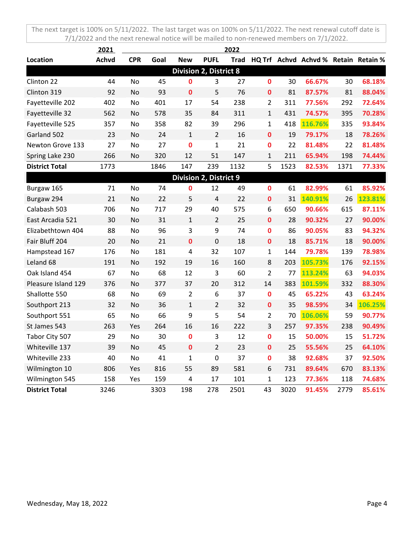|                       | 2021         |            |      |                |                               | 2022 |                |      |                                      |      |         |
|-----------------------|--------------|------------|------|----------------|-------------------------------|------|----------------|------|--------------------------------------|------|---------|
| Location              | <b>Achvd</b> | <b>CPR</b> | Goal | <b>New</b>     | <b>PUFL</b>                   | Trad |                |      | HQ Trf Achvd Achvd % Retain Retain % |      |         |
|                       |              |            |      |                | <b>Division 2, District 8</b> |      |                |      |                                      |      |         |
| Clinton 22            | 44           | No         | 45   | 0              | 3                             | 27   | $\bf{0}$       | 30   | 66.67%                               | 30   | 68.18%  |
| Clinton 319           | 92           | No         | 93   | $\mathbf 0$    | 5                             | 76   | $\mathbf 0$    | 81   | 87.57%                               | 81   | 88.04%  |
| Fayetteville 202      | 402          | No         | 401  | 17             | 54                            | 238  | $\overline{2}$ | 311  | 77.56%                               | 292  | 72.64%  |
| Fayetteville 32       | 562          | No         | 578  | 35             | 84                            | 311  | $\mathbf{1}$   | 431  | 74.57%                               | 395  | 70.28%  |
| Fayetteville 525      | 357          | No         | 358  | 82             | 39                            | 296  | $\mathbf{1}$   | 418  | 116.76%                              | 335  | 93.84%  |
| Garland 502           | 23           | No         | 24   | $\mathbf{1}$   | $\overline{2}$                | 16   | $\mathbf 0$    | 19   | 79.17%                               | 18   | 78.26%  |
| Newton Grove 133      | 27           | No         | 27   | $\bf{0}$       | $\mathbf{1}$                  | 21   | 0              | 22   | 81.48%                               | 22   | 81.48%  |
| Spring Lake 230       | 266          | No         | 320  | 12             | 51                            | 147  | $\mathbf{1}$   | 211  | 65.94%                               | 198  | 74.44%  |
| <b>District Total</b> | 1773         |            | 1846 | 147            | 239                           | 1132 | 5              | 1523 | 82.53%                               | 1371 | 77.33%  |
|                       |              |            |      |                | <b>Division 2, District 9</b> |      |                |      |                                      |      |         |
| Burgaw 165            | 71           | No         | 74   | 0              | 12                            | 49   | $\mathbf 0$    | 61   | 82.99%                               | 61   | 85.92%  |
| Burgaw 294            | 21           | No         | 22   | 5              | $\overline{4}$                | 22   | $\mathbf 0$    | 31   | 140.91%                              | 26   | 123.81% |
| Calabash 503          | 706          | No         | 717  | 29             | 40                            | 575  | 6              | 650  | 90.66%                               | 615  | 87.11%  |
| East Arcadia 521      | 30           | <b>No</b>  | 31   | $\mathbf{1}$   | $\overline{2}$                | 25   | $\mathbf{0}$   | 28   | 90.32%                               | 27   | 90.00%  |
| Elizabethtown 404     | 88           | No         | 96   | 3              | 9                             | 74   | $\mathbf{0}$   | 86   | 90.05%                               | 83   | 94.32%  |
| Fair Bluff 204        | 20           | No         | 21   | $\mathbf 0$    | $\mathbf 0$                   | 18   | $\mathbf 0$    | 18   | 85.71%                               | 18   | 90.00%  |
| Hampstead 167         | 176          | No         | 181  | 4              | 32                            | 107  | 1              | 144  | 79.78%                               | 139  | 78.98%  |
| Leland 68             | 191          | No         | 192  | 19             | 16                            | 160  | 8              | 203  | 105.73%                              | 176  | 92.15%  |
| Oak Island 454        | 67           | No         | 68   | 12             | 3                             | 60   | $\overline{2}$ | 77   | 113.24%                              | 63   | 94.03%  |
| Pleasure Island 129   | 376          | No         | 377  | 37             | 20                            | 312  | 14             | 383  | 101.59%                              | 332  | 88.30%  |
| Shallotte 550         | 68           | No         | 69   | $\overline{2}$ | 6                             | 37   | $\mathbf 0$    | 45   | 65.22%                               | 43   | 63.24%  |
| Southport 213         | 32           | No         | 36   | $\mathbf{1}$   | $\overline{2}$                | 32   | $\mathbf 0$    | 35   | 98.59%                               | 34   | 106.25% |
| Southport 551         | 65           | No         | 66   | 9              | 5                             | 54   | $\overline{2}$ | 70   | 106.06%                              | 59   | 90.77%  |
| St James 543          | 263          | Yes        | 264  | 16             | 16                            | 222  | 3              | 257  | 97.35%                               | 238  | 90.49%  |
| Tabor City 507        | 29           | No         | 30   | $\bf{0}$       | 3                             | 12   | $\mathbf 0$    | 15   | 50.00%                               | 15   | 51.72%  |
| Whiteville 137        | 39           | No         | 45   | $\bf{0}$       | $\overline{2}$                | 23   | $\mathbf 0$    | 25   | 55.56%                               | 25   | 64.10%  |
| Whiteville 233        | 40           | No         | 41   | $\mathbf{1}$   | 0                             | 37   | $\mathbf 0$    | 38   | 92.68%                               | 37   | 92.50%  |
| Wilmington 10         | 806          | Yes        | 816  | 55             | 89                            | 581  | 6              | 731  | 89.64%                               | 670  | 83.13%  |
| Wilmington 545        | 158          | Yes        | 159  | 4              | 17                            | 101  | $\mathbf{1}$   | 123  | 77.36%                               | 118  | 74.68%  |
| <b>District Total</b> | 3246         |            | 3303 | 198            | 278                           | 2501 | 43             | 3020 | 91.45%                               | 2779 | 85.61%  |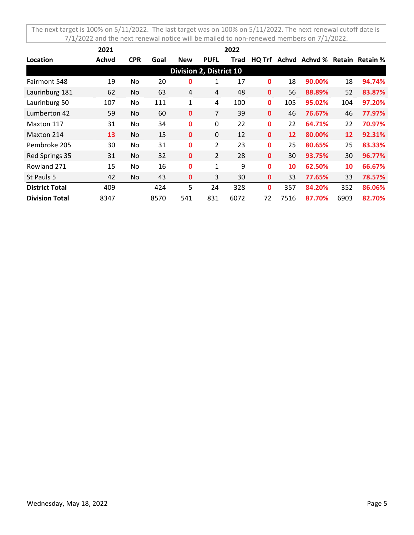|                       | 2021  |            |      |                                |                | 2022 |              |      |                               |      |        |
|-----------------------|-------|------------|------|--------------------------------|----------------|------|--------------|------|-------------------------------|------|--------|
| Location              | Achvd | <b>CPR</b> | Goal | <b>New</b>                     | <b>PUFL</b>    | Trad | HQ Trf       |      | Achyd Achyd % Retain Retain % |      |        |
|                       |       |            |      | <b>Division 2, District 10</b> |                |      |              |      |                               |      |        |
| Fairmont 548          | 19    | No.        | 20   | 0                              | $\mathbf{1}$   | 17   | 0            | 18   | 90.00%                        | 18   | 94.74% |
| Laurinburg 181        | 62    | No.        | 63   | 4                              | 4              | 48   | $\mathbf{0}$ | 56   | 88.89%                        | 52   | 83.87% |
| Laurinburg 50         | 107   | No         | 111  | 1                              | 4              | 100  | $\mathbf{0}$ | 105  | 95.02%                        | 104  | 97.20% |
| Lumberton 42          | 59    | No.        | 60   | $\mathbf{0}$                   | 7              | 39   | $\mathbf{0}$ | 46   | 76.67%                        | 46   | 77.97% |
| Maxton 117            | 31    | No.        | 34   | 0                              | 0              | 22   | 0            | 22   | 64.71%                        | 22   | 70.97% |
| Maxton 214            | 13    | No.        | 15   | 0                              | $\Omega$       | 12   | $\mathbf{0}$ | 12   | 80.00%                        | 12   | 92.31% |
| Pembroke 205          | 30    | No.        | 31   | 0                              | $\overline{2}$ | 23   | $\mathbf{0}$ | 25   | 80.65%                        | 25   | 83.33% |
| Red Springs 35        | 31    | No.        | 32   | 0                              | $\overline{2}$ | 28   | $\mathbf{0}$ | 30   | 93.75%                        | 30   | 96.77% |
| Rowland 271           | 15    | No         | 16   | 0                              | $\mathbf{1}$   | 9    | $\mathbf{0}$ | 10   | 62.50%                        | 10   | 66.67% |
| St Pauls 5            | 42    | No.        | 43   | 0                              | 3              | 30   | 0            | 33   | 77.65%                        | 33   | 78.57% |
| <b>District Total</b> | 409   |            | 424  | 5                              | 24             | 328  | 0            | 357  | 84.20%                        | 352  | 86.06% |
| <b>Division Total</b> | 8347  |            | 8570 | 541                            | 831            | 6072 | 72           | 7516 | 87.70%                        | 6903 | 82.70% |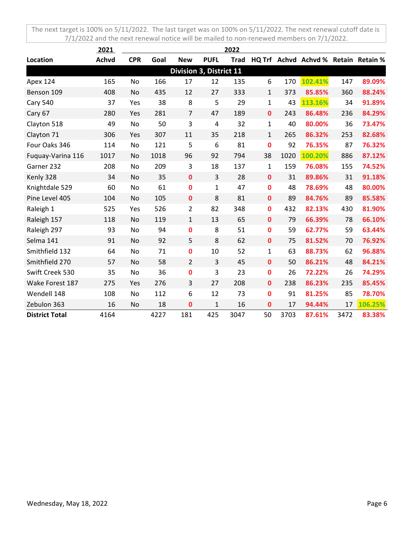|                       | 2021         |            |      |                |                         | 2022        |                  |      |                                      |      |         |
|-----------------------|--------------|------------|------|----------------|-------------------------|-------------|------------------|------|--------------------------------------|------|---------|
| Location              | <b>Achvd</b> | <b>CPR</b> | Goal | <b>New</b>     | <b>PUFL</b>             | <b>Trad</b> |                  |      | HQ Trf Achvd Achvd % Retain Retain % |      |         |
|                       |              |            |      |                | Division 3, District 11 |             |                  |      |                                      |      |         |
| Apex 124              | 165          | No         | 166  | 17             | 12                      | 135         | 6                | 170  | 102.41%                              | 147  | 89.09%  |
| Benson 109            | 408          | No         | 435  | 12             | 27                      | 333         | $\mathbf{1}$     | 373  | 85.85%                               | 360  | 88.24%  |
| <b>Cary 540</b>       | 37           | Yes        | 38   | 8              | 5                       | 29          | $\mathbf{1}$     | 43   | 113.16%                              | 34   | 91.89%  |
| Cary 67               | 280          | Yes        | 281  | $\overline{7}$ | 47                      | 189         | $\mathbf 0$      | 243  | 86.48%                               | 236  | 84.29%  |
| Clayton 518           | 49           | No         | 50   | 3              | 4                       | 32          | 1                | 40   | 80.00%                               | 36   | 73.47%  |
| Clayton 71            | 306          | Yes        | 307  | 11             | 35                      | 218         | $\mathbf{1}$     | 265  | 86.32%                               | 253  | 82.68%  |
| Four Oaks 346         | 114          | No         | 121  | 5              | 6                       | 81          | $\bf{0}$         | 92   | 76.35%                               | 87   | 76.32%  |
| Fuquay-Varina 116     | 1017         | No         | 1018 | 96             | 92                      | 794         | 38               | 1020 | 100.20%                              | 886  | 87.12%  |
| Garner 232            | 208          | No         | 209  | 3              | 18                      | 137         | $\mathbf{1}$     | 159  | 76.08%                               | 155  | 74.52%  |
| Kenly 328             | 34           | No         | 35   | $\mathbf 0$    | 3                       | 28          | $\mathbf 0$      | 31   | 89.86%                               | 31   | 91.18%  |
| Knightdale 529        | 60           | No         | 61   | $\mathbf 0$    | 1                       | 47          | $\mathbf 0$      | 48   | 78.69%                               | 48   | 80.00%  |
| Pine Level 405        | 104          | <b>No</b>  | 105  | $\mathbf{0}$   | 8                       | 81          | $\mathbf 0$      | 89   | 84.76%                               | 89   | 85.58%  |
| Raleigh 1             | 525          | Yes        | 526  | $\overline{2}$ | 82                      | 348         | $\mathbf 0$      | 432  | 82.13%                               | 430  | 81.90%  |
| Raleigh 157           | 118          | No         | 119  | $\mathbf{1}$   | 13                      | 65          | $\mathbf 0$      | 79   | 66.39%                               | 78   | 66.10%  |
| Raleigh 297           | 93           | No         | 94   | $\mathbf 0$    | 8                       | 51          | $\mathbf 0$      | 59   | 62.77%                               | 59   | 63.44%  |
| Selma 141             | 91           | No         | 92   | 5              | 8                       | 62          | $\mathbf 0$      | 75   | 81.52%                               | 70   | 76.92%  |
| Smithfield 132        | 64           | No         | 71   | 0              | 10                      | 52          | $\mathbf{1}$     | 63   | 88.73%                               | 62   | 96.88%  |
| Smithfield 270        | 57           | No         | 58   | $\overline{2}$ | 3                       | 45          | $\mathbf{0}$     | 50   | 86.21%                               | 48   | 84.21%  |
| Swift Creek 530       | 35           | No         | 36   | 0              | 3                       | 23          | $\mathbf 0$      | 26   | 72.22%                               | 26   | 74.29%  |
| Wake Forest 187       | 275          | Yes        | 276  | 3              | 27                      | 208         | $\mathbf 0$      | 238  | 86.23%                               | 235  | 85.45%  |
| Wendell 148           | 108          | No         | 112  | 6              | 12                      | 73          | $\mathbf 0$      | 91   | 81.25%                               | 85   | 78.70%  |
| Zebulon 363           | 16           | No         | 18   | 0              | 1                       | 16          | $\boldsymbol{0}$ | 17   | 94.44%                               | 17   | 106.25% |
| <b>District Total</b> | 4164         |            | 4227 | 181            | 425                     | 3047        | 50               | 3703 | 87.61%                               | 3472 | 83.38%  |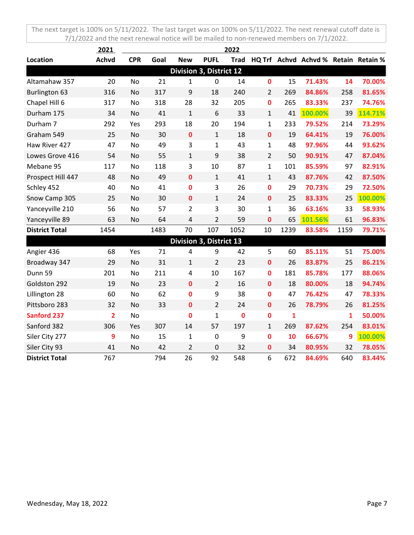|                       | 2021           |            |      |                         |                  | 2022        |                |              |                                      |      |         |
|-----------------------|----------------|------------|------|-------------------------|------------------|-------------|----------------|--------------|--------------------------------------|------|---------|
| Location              | <b>Achvd</b>   | <b>CPR</b> | Goal | <b>New</b>              | <b>PUFL</b>      | <b>Trad</b> |                |              | HQ Trf Achvd Achvd % Retain Retain % |      |         |
|                       |                |            |      | Division 3, District 12 |                  |             |                |              |                                      |      |         |
| Altamahaw 357         | 20             | No         | 21   | 1                       | $\mathbf 0$      | 14          | 0              | 15           | 71.43%                               | 14   | 70.00%  |
| Burlington 63         | 316            | No         | 317  | 9                       | 18               | 240         | $\overline{2}$ | 269          | 84.86%                               | 258  | 81.65%  |
| Chapel Hill 6         | 317            | No         | 318  | 28                      | 32               | 205         | $\mathbf{0}$   | 265          | 83.33%                               | 237  | 74.76%  |
| Durham 175            | 34             | No         | 41   | $\mathbf{1}$            | 6                | 33          | $\mathbf{1}$   | 41           | 100.00%                              | 39   | 114.71% |
| Durham 7              | 292            | Yes        | 293  | 18                      | 20               | 194         | $\mathbf{1}$   | 233          | 79.52%                               | 214  | 73.29%  |
| Graham 549            | 25             | No         | 30   | $\mathbf 0$             | $\mathbf{1}$     | 18          | $\mathbf 0$    | 19           | 64.41%                               | 19   | 76.00%  |
| Haw River 427         | 47             | No         | 49   | 3                       | $\mathbf{1}$     | 43          | $\mathbf{1}$   | 48           | 97.96%                               | 44   | 93.62%  |
| Lowes Grove 416       | 54             | No         | 55   | $\mathbf{1}$            | 9                | 38          | $\overline{2}$ | 50           | 90.91%                               | 47   | 87.04%  |
| Mebane 95             | 117            | <b>No</b>  | 118  | 3                       | 10               | 87          | $\mathbf{1}$   | 101          | 85.59%                               | 97   | 82.91%  |
| Prospect Hill 447     | 48             | No         | 49   | $\mathbf 0$             | $\mathbf{1}$     | 41          | $\mathbf{1}$   | 43           | 87.76%                               | 42   | 87.50%  |
| Schley 452            | 40             | <b>No</b>  | 41   | $\mathbf 0$             | 3                | 26          | $\mathbf 0$    | 29           | 70.73%                               | 29   | 72.50%  |
| Snow Camp 305         | 25             | No         | 30   | $\mathbf 0$             | $\mathbf{1}$     | 24          | $\mathbf 0$    | 25           | 83.33%                               | 25   | 100.00% |
| Yanceyville 210       | 56             | No         | 57   | 2                       | 3                | 30          | 1              | 36           | 63.16%                               | 33   | 58.93%  |
| Yanceyville 89        | 63             | No         | 64   | 4                       | $\overline{2}$   | 59          | $\mathbf 0$    | 65           | 101.56%                              | 61   | 96.83%  |
| <b>District Total</b> | 1454           |            | 1483 | 70                      | 107              | 1052        | 10             | 1239         | 83.58%                               | 1159 | 79.71%  |
|                       |                |            |      | Division 3, District 13 |                  |             |                |              |                                      |      |         |
| Angier 436            | 68             | Yes        | 71   | 4                       | 9                | 42          | 5              | 60           | 85.11%                               | 51   | 75.00%  |
| Broadway 347          | 29             | No         | 31   | 1                       | $\overline{2}$   | 23          | $\mathbf 0$    | 26           | 83.87%                               | 25   | 86.21%  |
| Dunn 59               | 201            | <b>No</b>  | 211  | 4                       | 10               | 167         | $\mathbf 0$    | 181          | 85.78%                               | 177  | 88.06%  |
| Goldston 292          | 19             | No         | 23   | $\mathbf 0$             | $\overline{2}$   | 16          | $\mathbf 0$    | 18           | 80.00%                               | 18   | 94.74%  |
| Lillington 28         | 60             | No         | 62   | 0                       | 9                | 38          | $\bf{0}$       | 47           | 76.42%                               | 47   | 78.33%  |
| Pittsboro 283         | 32             | <b>No</b>  | 33   | $\mathbf 0$             | $\overline{2}$   | 24          | $\mathbf 0$    | 26           | 78.79%                               | 26   | 81.25%  |
| <b>Sanford 237</b>    | $\overline{2}$ | No         |      | $\mathbf 0$             | $\mathbf{1}$     | $\bf{0}$    | $\mathbf 0$    | $\mathbf{1}$ |                                      | 1    | 50.00%  |
| Sanford 382           | 306            | Yes        | 307  | 14                      | 57               | 197         | $\mathbf{1}$   | 269          | 87.62%                               | 254  | 83.01%  |
| Siler City 277        | 9              | No         | 15   | 1                       | $\boldsymbol{0}$ | 9           | $\bf{0}$       | 10           | 66.67%                               | 9    | 100.00% |
| Siler City 93         | 41             | No         | 42   | $\overline{2}$          | 0                | 32          | 0              | 34           | 80.95%                               | 32   | 78.05%  |
| <b>District Total</b> | 767            |            | 794  | 26                      | 92               | 548         | 6              | 672          | 84.69%                               | 640  | 83.44%  |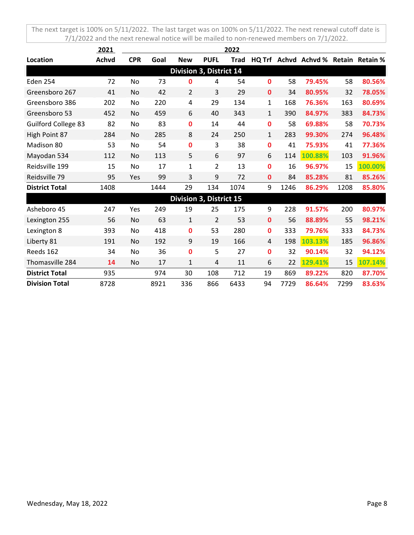|                            | 2021         |            |      |                         |                | 2022        |              |      |                                      |      |         |
|----------------------------|--------------|------------|------|-------------------------|----------------|-------------|--------------|------|--------------------------------------|------|---------|
| Location                   | <b>Achvd</b> | <b>CPR</b> | Goal | <b>New</b>              | <b>PUFL</b>    | <b>Trad</b> |              |      | HQ Trf Achvd Achvd % Retain Retain % |      |         |
|                            |              |            |      | Division 3, District 14 |                |             |              |      |                                      |      |         |
| <b>Eden 254</b>            | 72           | No         | 73   | 0                       | 4              | 54          | 0            | 58   | 79.45%                               | 58   | 80.56%  |
| Greensboro 267             | 41           | No         | 42   | $\overline{2}$          | 3              | 29          | $\mathbf{0}$ | 34   | 80.95%                               | 32   | 78.05%  |
| Greensboro 386             | 202          | No         | 220  | 4                       | 29             | 134         | 1            | 168  | 76.36%                               | 163  | 80.69%  |
| Greensboro 53              | 452          | No         | 459  | 6                       | 40             | 343         | $\mathbf{1}$ | 390  | 84.97%                               | 383  | 84.73%  |
| <b>Guilford College 83</b> | 82           | No         | 83   | 0                       | 14             | 44          | 0            | 58   | 69.88%                               | 58   | 70.73%  |
| High Point 87              | 284          | No         | 285  | 8                       | 24             | 250         | 1            | 283  | 99.30%                               | 274  | 96.48%  |
| Madison 80                 | 53           | No         | 54   | 0                       | 3              | 38          | 0            | 41   | 75.93%                               | 41   | 77.36%  |
| Mayodan 534                | 112          | No         | 113  | 5                       | 6              | 97          | 6            | 114  | 100.88%                              | 103  | 91.96%  |
| Reidsville 199             | 15           | No         | 17   | 1                       | $\overline{2}$ | 13          | $\mathbf{0}$ | 16   | 96.97%                               | 15   | 100.00% |
| Reidsville 79              | 95           | Yes        | 99   | 3                       | 9              | 72          | $\mathbf 0$  | 84   | 85.28%                               | 81   | 85.26%  |
| <b>District Total</b>      | 1408         |            | 1444 | 29                      | 134            | 1074        | 9            | 1246 | 86.29%                               | 1208 | 85.80%  |
|                            |              |            |      | Division 3, District 15 |                |             |              |      |                                      |      |         |
| Asheboro 45                | 247          | Yes        | 249  | 19                      | 25             | 175         | 9            | 228  | 91.57%                               | 200  | 80.97%  |
| Lexington 255              | 56           | No         | 63   | $\mathbf{1}$            | $\overline{2}$ | 53          | 0            | 56   | 88.89%                               | 55   | 98.21%  |
| Lexington 8                | 393          | No         | 418  | 0                       | 53             | 280         | 0            | 333  | 79.76%                               | 333  | 84.73%  |
| Liberty 81                 | 191          | No         | 192  | 9                       | 19             | 166         | 4            | 198  | 103.13%                              | 185  | 96.86%  |
| Reeds 162                  | 34           | No         | 36   | 0                       | 5              | 27          | 0            | 32   | 90.14%                               | 32   | 94.12%  |
| Thomasville 284            | 14           | No         | 17   | 1                       | $\overline{4}$ | 11          | 6            | 22   | 129.41%                              | 15   | 107.14% |
| <b>District Total</b>      | 935          |            | 974  | 30                      | 108            | 712         | 19           | 869  | 89.22%                               | 820  | 87.70%  |
| <b>Division Total</b>      | 8728         |            | 8921 | 336                     | 866            | 6433        | 94           | 7729 | 86.64%                               | 7299 | 83.63%  |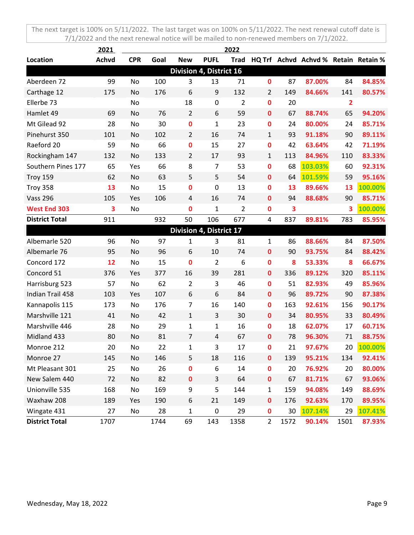|                       | 2021         |            |      |                                |                | 2022           |                |      |                                      |                |         |
|-----------------------|--------------|------------|------|--------------------------------|----------------|----------------|----------------|------|--------------------------------------|----------------|---------|
| Location              | <b>Achvd</b> | <b>CPR</b> | Goal | <b>New</b>                     | <b>PUFL</b>    | <b>Trad</b>    |                |      | HQ Trf Achvd Achvd % Retain Retain % |                |         |
|                       |              |            |      | <b>Division 4, District 16</b> |                |                |                |      |                                      |                |         |
| Aberdeen 72           | 99           | No         | 100  | 3                              | 13             | 71             | $\mathbf 0$    | 87   | 87.00%                               | 84             | 84.85%  |
| Carthage 12           | 175          | No         | 176  | 6                              | 9              | 132            | $\overline{2}$ | 149  | 84.66%                               | 141            | 80.57%  |
| Ellerbe 73            |              | No         |      | 18                             | 0              | $\overline{2}$ | $\mathbf 0$    | 20   |                                      | $\overline{2}$ |         |
| Hamlet 49             | 69           | No         | 76   | $\overline{2}$                 | 6              | 59             | $\mathbf 0$    | 67   | 88.74%                               | 65             | 94.20%  |
| Mt Gilead 92          | 28           | No         | 30   | $\pmb{0}$                      | $\mathbf{1}$   | 23             | $\mathbf 0$    | 24   | 80.00%                               | 24             | 85.71%  |
| Pinehurst 350         | 101          | No         | 102  | $\overline{2}$                 | 16             | 74             | $\mathbf{1}$   | 93   | 91.18%                               | 90             | 89.11%  |
| Raeford 20            | 59           | No         | 66   | 0                              | 15             | 27             | $\mathbf 0$    | 42   | 63.64%                               | 42             | 71.19%  |
| Rockingham 147        | 132          | No         | 133  | $\overline{2}$                 | 17             | 93             | $\mathbf{1}$   | 113  | 84.96%                               | 110            | 83.33%  |
| Southern Pines 177    | 65           | Yes        | 66   | 8                              | 7              | 53             | $\mathbf 0$    | 68   | 103.03%                              | 60             | 92.31%  |
| <b>Troy 159</b>       | 62           | No         | 63   | 5                              | 5              | 54             | $\mathbf 0$    | 64   | 101.59%                              | 59             | 95.16%  |
| Troy 358              | 13           | No         | 15   | 0                              | 0              | 13             | $\mathbf 0$    | 13   | 89.66%                               | 13             | 100.00% |
| <b>Vass 296</b>       | 105          | Yes        | 106  | 4                              | 16             | 74             | $\mathbf 0$    | 94   | 88.68%                               | 90             | 85.71%  |
| <b>West End 303</b>   | 3            | No         |      | $\bf{0}$                       | $\mathbf 1$    | 2              | $\mathbf 0$    | 3    |                                      | 3              | 100.00% |
| <b>District Total</b> | 911          |            | 932  | 50                             | 106            | 677            | $\overline{4}$ | 837  | 89.81%                               | 783            | 85.95%  |
|                       |              |            |      | Division 4, District 17        |                |                |                |      |                                      |                |         |
| Albemarle 520         | 96           | No         | 97   | 1                              | 3              | 81             | $\mathbf{1}$   | 86   | 88.66%                               | 84             | 87.50%  |
| Albemarle 76          | 95           | No         | 96   | 6                              | 10             | 74             | $\mathbf 0$    | 90   | 93.75%                               | 84             | 88.42%  |
| Concord 172           | 12           | No         | 15   | $\bf{0}$                       | $\overline{2}$ | 6              | $\mathbf 0$    | 8    | 53.33%                               | 8              | 66.67%  |
| Concord 51            | 376          | Yes        | 377  | 16                             | 39             | 281            | $\mathbf 0$    | 336  | 89.12%                               | 320            | 85.11%  |
| Harrisburg 523        | 57           | No         | 62   | $\overline{2}$                 | 3              | 46             | $\mathbf 0$    | 51   | 82.93%                               | 49             | 85.96%  |
| Indian Trail 458      | 103          | Yes        | 107  | 6                              | 6              | 84             | $\mathbf 0$    | 96   | 89.72%                               | 90             | 87.38%  |
| Kannapolis 115        | 173          | No         | 176  | $\overline{7}$                 | 16             | 140            | $\mathbf 0$    | 163  | 92.61%                               | 156            | 90.17%  |
| Marshville 121        | 41           | No         | 42   | 1                              | 3              | 30             | $\mathbf 0$    | 34   | 80.95%                               | 33             | 80.49%  |
| Marshville 446        | 28           | No         | 29   | $\mathbf{1}$                   | $\mathbf{1}$   | 16             | $\mathbf 0$    | 18   | 62.07%                               | 17             | 60.71%  |
| Midland 433           | 80           | No         | 81   | $\overline{7}$                 | 4              | 67             | $\mathbf 0$    | 78   | 96.30%                               | 71             | 88.75%  |
| Monroe 212            | 20           | No         | 22   | 1                              | 3              | 17             | $\mathbf 0$    | 21   | 97.67%                               | 20             | 100.00% |
| Monroe 27             | 145          | No         | 146  | 5                              | 18             | 116            | $\pmb{0}$      | 139  | 95.21%                               | 134            | 92.41%  |
| Mt Pleasant 301       | 25           | No         | 26   | $\pmb{0}$                      | 6              | 14             | $\pmb{0}$      | 20   | 76.92%                               | 20             | 80.00%  |
| New Salem 440         | 72           | No         | 82   | $\pmb{0}$                      | 3              | 64             | $\pmb{0}$      | 67   | 81.71%                               | 67             | 93.06%  |
| Unionville 535        | 168          | No         | 169  | 9                              | 5              | 144            | $\mathbf{1}$   | 159  | 94.08%                               | 149            | 88.69%  |
| Waxhaw 208            | 189          | Yes        | 190  | 6                              | 21             | 149            | $\pmb{0}$      | 176  | 92.63%                               | 170            | 89.95%  |
| Wingate 431           | 27           | No         | 28   | $\mathbf{1}$                   | $\pmb{0}$      | 29             | $\pmb{0}$      | 30   | 107.14%                              | 29             | 107.41% |
| <b>District Total</b> | 1707         |            | 1744 | 69                             | 143            | 1358           | $\overline{2}$ | 1572 | 90.14%                               | 1501           | 87.93%  |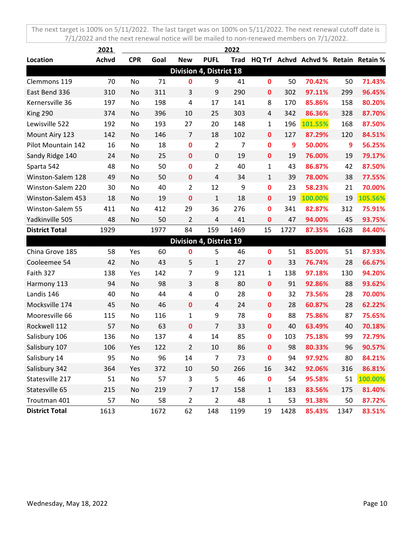|                       | 2021         |            |      |                         |                  | 2022        |                  |      |                                      |      |         |
|-----------------------|--------------|------------|------|-------------------------|------------------|-------------|------------------|------|--------------------------------------|------|---------|
| Location              | <b>Achvd</b> | <b>CPR</b> | Goal | <b>New</b>              | <b>PUFL</b>      | <b>Trad</b> |                  |      | HQ Trf Achvd Achvd % Retain Retain % |      |         |
|                       |              |            |      | Division 4, District 18 |                  |             |                  |      |                                      |      |         |
| Clemmons 119          | 70           | No         | 71   | 0                       | 9                | 41          | $\mathbf 0$      | 50   | 70.42%                               | 50   | 71.43%  |
| East Bend 336         | 310          | No         | 311  | 3                       | 9                | 290         | $\mathbf 0$      | 302  | 97.11%                               | 299  | 96.45%  |
| Kernersville 36       | 197          | No         | 198  | 4                       | 17               | 141         | 8                | 170  | 85.86%                               | 158  | 80.20%  |
| King 290              | 374          | No         | 396  | 10                      | 25               | 303         | 4                | 342  | 86.36%                               | 328  | 87.70%  |
| Lewisville 522        | 192          | No         | 193  | 27                      | 20               | 148         | $\mathbf{1}$     | 196  | 101.55%                              | 168  | 87.50%  |
| Mount Airy 123        | 142          | No         | 146  | 7                       | 18               | 102         | $\mathbf 0$      | 127  | 87.29%                               | 120  | 84.51%  |
| Pilot Mountain 142    | 16           | No         | 18   | 0                       | $\overline{2}$   | 7           | $\mathbf 0$      | 9    | 50.00%                               | 9    | 56.25%  |
| Sandy Ridge 140       | 24           | No         | 25   | $\mathbf 0$             | $\boldsymbol{0}$ | 19          | $\mathbf 0$      | 19   | 76.00%                               | 19   | 79.17%  |
| Sparta 542            | 48           | No         | 50   | 0                       | $\overline{2}$   | 40          | $\mathbf{1}$     | 43   | 86.87%                               | 42   | 87.50%  |
| Winston-Salem 128     | 49           | No         | 50   | $\mathbf 0$             | 4                | 34          | $\mathbf{1}$     | 39   | 78.00%                               | 38   | 77.55%  |
| Winston-Salem 220     | 30           | No         | 40   | $\overline{2}$          | 12               | 9           | $\bf{0}$         | 23   | 58.23%                               | 21   | 70.00%  |
| Winston-Salem 453     | 18           | No         | 19   | 0                       | $\mathbf{1}$     | 18          | $\mathbf 0$      | 19   | 100.00%                              | 19   | 105.56% |
| Winston-Salem 55      | 411          | No         | 412  | 29                      | 36               | 276         | $\mathbf 0$      | 341  | 82.87%                               | 312  | 75.91%  |
| Yadkinville 505       | 48           | No         | 50   | 2                       | 4                | 41          | $\mathbf 0$      | 47   | 94.00%                               | 45   | 93.75%  |
| <b>District Total</b> | 1929         |            | 1977 | 84                      | 159              | 1469        | 15               | 1727 | 87.35%                               | 1628 | 84.40%  |
|                       |              |            |      | Division 4, District 19 |                  |             |                  |      |                                      |      |         |
| China Grove 185       | 58           | Yes        | 60   | 0                       | 5                | 46          | $\mathbf 0$      | 51   | 85.00%                               | 51   | 87.93%  |
| Cooleemee 54          | 42           | No         | 43   | 5                       | 1                | 27          | $\mathbf 0$      | 33   | 76.74%                               | 28   | 66.67%  |
| Faith 327             | 138          | Yes        | 142  | $\overline{7}$          | 9                | 121         | $\mathbf{1}$     | 138  | 97.18%                               | 130  | 94.20%  |
| Harmony 113           | 94           | No         | 98   | 3                       | 8                | 80          | $\mathbf 0$      | 91   | 92.86%                               | 88   | 93.62%  |
| Landis 146            | 40           | No         | 44   | 4                       | $\boldsymbol{0}$ | 28          | $\mathbf 0$      | 32   | 73.56%                               | 28   | 70.00%  |
| Mocksville 174        | 45           | No         | 46   | $\mathbf 0$             | $\overline{4}$   | 24          | $\mathbf 0$      | 28   | 60.87%                               | 28   | 62.22%  |
| Mooresville 66        | 115          | No         | 116  | 1                       | 9                | 78          | $\mathbf 0$      | 88   | 75.86%                               | 87   | 75.65%  |
| Rockwell 112          | 57           | No         | 63   | $\mathbf 0$             | $\overline{7}$   | 33          | $\mathbf 0$      | 40   | 63.49%                               | 40   | 70.18%  |
| Salisbury 106         | 136          | No         | 137  | 4                       | 14               | 85          | $\mathbf 0$      | 103  | 75.18%                               | 99   | 72.79%  |
| Salisbury 107         | 106          | Yes        | 122  | 2                       | 10               | 86          | $\mathbf 0$      | 98   | 80.33%                               | 96   | 90.57%  |
| Salisbury 14          | 95           | No         | 96   | 14                      | $\overline{7}$   | 73          | $\boldsymbol{0}$ | 94   | 97.92%                               | 80   | 84.21%  |
| Salisbury 342         | 364          | Yes        | 372  | 10                      | 50               | 266         | 16               | 342  | 92.06%                               | 316  | 86.81%  |
| Statesville 217       | 51           | No         | 57   | 3                       | 5                | 46          | $\pmb{0}$        | 54   | 95.58%                               | 51   | 100.00% |
| Statesville 65        | 215          | No         | 219  | $\overline{7}$          | 17               | 158         | $\mathbf 1$      | 183  | 83.56%                               | 175  | 81.40%  |
| Troutman 401          | 57           | No         | 58   | $\overline{2}$          | $\overline{2}$   | 48          | $\mathbf{1}$     | 53   | 91.38%                               | 50   | 87.72%  |
| <b>District Total</b> | 1613         |            | 1672 | 62                      | 148              | 1199        | 19               | 1428 | 85.43%                               | 1347 | 83.51%  |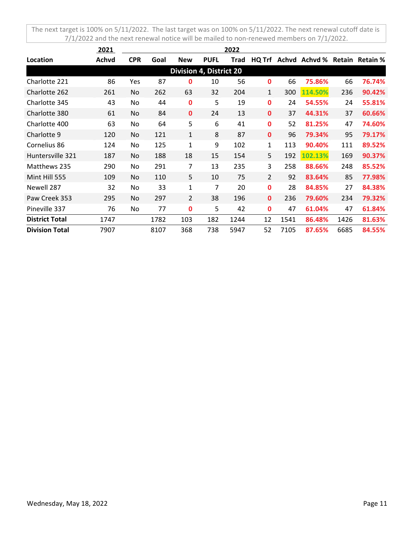|                                | 2021         | 2022       |      |                |             |      |                |      |                               |      |        |
|--------------------------------|--------------|------------|------|----------------|-------------|------|----------------|------|-------------------------------|------|--------|
| Location                       | <b>Achvd</b> | <b>CPR</b> | Goal | <b>New</b>     | <b>PUFL</b> | Trad | HQ Trf         |      | Achvd Achvd % Retain Retain % |      |        |
| <b>Division 4, District 20</b> |              |            |      |                |             |      |                |      |                               |      |        |
| Charlotte 221                  | 86           | Yes        | 87   | 0              | 10          | 56   | 0              | 66   | 75.86%                        | 66   | 76.74% |
| Charlotte 262                  | 261          | No         | 262  | 63             | 32          | 204  | $\mathbf{1}$   | 300  | 114.50%                       | 236  | 90.42% |
| Charlotte 345                  | 43           | No         | 44   | 0              | 5           | 19   | $\mathbf{0}$   | 24   | 54.55%                        | 24   | 55.81% |
| Charlotte 380                  | 61           | No.        | 84   | $\mathbf{0}$   | 24          | 13   | $\mathbf{0}$   | 37   | 44.31%                        | 37   | 60.66% |
| Charlotte 400                  | 63           | No         | 64   | 5              | 6           | 41   | $\mathbf{0}$   | 52   | 81.25%                        | 47   | 74.60% |
| Charlotte 9                    | 120          | No.        | 121  | $\mathbf{1}$   | 8           | 87   | $\mathbf{0}$   | 96   | 79.34%                        | 95   | 79.17% |
| Cornelius 86                   | 124          | No         | 125  | 1              | 9           | 102  | $\mathbf{1}$   | 113  | 90.40%                        | 111  | 89.52% |
| Huntersville 321               | 187          | No         | 188  | 18             | 15          | 154  | 5              | 192  | 102.13%                       | 169  | 90.37% |
| Matthews 235                   | 290          | No         | 291  | 7              | 13          | 235  | 3              | 258  | 88.66%                        | 248  | 85.52% |
| Mint Hill 555                  | 109          | No         | 110  | 5              | 10          | 75   | $\overline{2}$ | 92   | 83.64%                        | 85   | 77.98% |
| Newell 287                     | 32           | No         | 33   | 1              | 7           | 20   | $\mathbf 0$    | 28   | 84.85%                        | 27   | 84.38% |
| Paw Creek 353                  | 295          | No         | 297  | $\overline{2}$ | 38          | 196  | $\mathbf{0}$   | 236  | 79.60%                        | 234  | 79.32% |
| Pineville 337                  | 76           | No         | 77   | 0              | 5           | 42   | 0              | 47   | 61.04%                        | 47   | 61.84% |
| <b>District Total</b>          | 1747         |            | 1782 | 103            | 182         | 1244 | 12             | 1541 | 86.48%                        | 1426 | 81.63% |
| <b>Division Total</b>          | 7907         |            | 8107 | 368            | 738         | 5947 | 52             | 7105 | 87.65%                        | 6685 | 84.55% |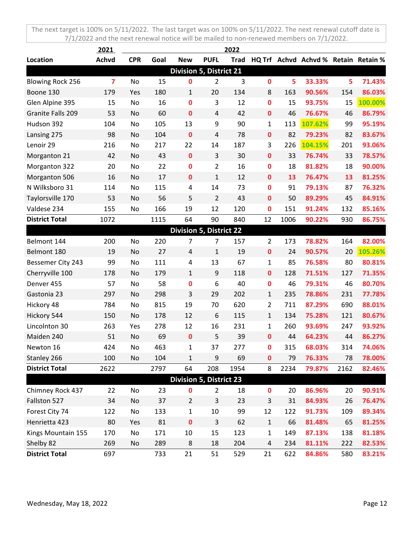|                                | <u> 2021 </u>           | 2022       |      |                |                |             |                |      |                                      |      |         |
|--------------------------------|-------------------------|------------|------|----------------|----------------|-------------|----------------|------|--------------------------------------|------|---------|
| Location                       | Achvd                   | <b>CPR</b> | Goal | <b>New</b>     | <b>PUFL</b>    | <b>Trad</b> |                |      | HQ Trf Achvd Achvd % Retain Retain % |      |         |
| <b>Division 5, District 21</b> |                         |            |      |                |                |             |                |      |                                      |      |         |
| <b>Blowing Rock 256</b>        | $\overline{\mathbf{z}}$ | No         | 15   | 0              | $\overline{2}$ | 3           | 0              | 5    | 33.33%                               | 5    | 71.43%  |
| Boone 130                      | 179                     | Yes        | 180  | 1              | 20             | 134         | 8              | 163  | 90.56%                               | 154  | 86.03%  |
| Glen Alpine 395                | 15                      | No         | 16   | 0              | 3              | 12          | 0              | 15   | 93.75%                               | 15   | 100.00% |
| Granite Falls 209              | 53                      | No         | 60   | 0              | $\overline{4}$ | 42          | 0              | 46   | 76.67%                               | 46   | 86.79%  |
| Hudson 392                     | 104                     | No         | 105  | 13             | 9              | 90          | $\mathbf{1}$   | 113  | 107.62%                              | 99   | 95.19%  |
| Lansing 275                    | 98                      | No         | 104  | $\bf{0}$       | 4              | 78          | $\mathbf 0$    | 82   | 79.23%                               | 82   | 83.67%  |
| Lenoir 29                      | 216                     | No         | 217  | 22             | 14             | 187         | 3              | 226  | 104.15%                              | 201  | 93.06%  |
| Morganton 21                   | 42                      | No         | 43   | $\mathbf 0$    | 3              | 30          | $\mathbf 0$    | 33   | 76.74%                               | 33   | 78.57%  |
| Morganton 322                  | 20                      | No         | 22   | 0              | 2              | 16          | 0              | 18   | 81.82%                               | 18   | 90.00%  |
| Morganton 506                  | 16                      | No         | 17   | $\pmb{0}$      | $\mathbf{1}$   | 12          | $\mathbf 0$    | 13   | 76.47%                               | 13   | 81.25%  |
| N Wilksboro 31                 | 114                     | No         | 115  | 4              | 14             | 73          | 0              | 91   | 79.13%                               | 87   | 76.32%  |
| Taylorsville 170               | 53                      | No         | 56   | 5              | 2              | 43          | 0              | 50   | 89.29%                               | 45   | 84.91%  |
| Valdese 234                    | 155                     | No         | 166  | 19             | 12             | 120         | $\mathbf 0$    | 151  | 91.24%                               | 132  | 85.16%  |
| <b>District Total</b>          | 1072                    |            | 1115 | 64             | 90             | 840         | 12             | 1006 | 90.22%                               | 930  | 86.75%  |
| <b>Division 5, District 22</b> |                         |            |      |                |                |             |                |      |                                      |      |         |
| Belmont 144                    | 200                     | No         | 220  | 7              | $\overline{7}$ | 157         | $\overline{2}$ | 173  | 78.82%                               | 164  | 82.00%  |
| Belmont 180                    | 19                      | No         | 27   | 4              | $\mathbf{1}$   | 19          | $\mathbf 0$    | 24   | 90.57%                               | 20   | 105.26% |
| Bessemer City 243              | 99                      | No         | 111  | 4              | 13             | 67          | $\mathbf{1}$   | 85   | 76.58%                               | 80   | 80.81%  |
| Cherryville 100                | 178                     | No         | 179  | $\mathbf{1}$   | 9              | 118         | $\mathbf 0$    | 128  | 71.51%                               | 127  | 71.35%  |
| Denver 455                     | 57                      | No         | 58   | 0              | 6              | 40          | 0              | 46   | 79.31%                               | 46   | 80.70%  |
| Gastonia 23                    | 297                     | No         | 298  | 3              | 29             | 202         | $\mathbf{1}$   | 235  | 78.86%                               | 231  | 77.78%  |
| Hickory 48                     | 784                     | No         | 815  | 19             | 70             | 620         | $\overline{2}$ | 711  | 87.29%                               | 690  | 88.01%  |
| Hickory 544                    | 150                     | No         | 178  | 12             | 6              | 115         | $\mathbf{1}$   | 134  | 75.28%                               | 121  | 80.67%  |
| Lincolnton 30                  | 263                     | Yes        | 278  | 12             | 16             | 231         | $\mathbf{1}$   | 260  | 93.69%                               | 247  | 93.92%  |
| Maiden 240                     | 51                      | No         | 69   | 0              | 5              | 39          | 0              | 44   | 64.23%                               | 44   | 86.27%  |
| Newton 16                      | 424                     | No         | 463  | 1              | 37             | 277         | $\mathbf 0$    | 315  | 68.03%                               | 314  | 74.06%  |
| Stanley 266                    | 100                     | No         | 104  | $\mathbf{1}$   | 9              | 69          | 0              | 79   | 76.33%                               | 78   | 78.00%  |
| <b>District Total</b>          | 2622                    |            | 2797 | 64             | 208            | 1954        | 8              | 2234 | 79.87%                               | 2162 | 82.46%  |
| <b>Division 5, District 23</b> |                         |            |      |                |                |             |                |      |                                      |      |         |
| Chimney Rock 437               | 22                      | No         | 23   | 0              | $\overline{2}$ | 18          | $\mathbf 0$    | 20   | 86.96%                               | 20   | 90.91%  |
| Fallston 527                   | 34                      | No         | 37   | $\overline{2}$ | 3              | 23          | 3              | 31   | 84.93%                               | 26   | 76.47%  |
| Forest City 74                 | 122                     | No         | 133  | $\mathbf{1}$   | 10             | 99          | 12             | 122  | 91.73%                               | 109  | 89.34%  |
| Henrietta 423                  | 80                      | Yes        | 81   | $\pmb{0}$      | 3              | 62          | $\mathbf{1}$   | 66   | 81.48%                               | 65   | 81.25%  |
| Kings Mountain 155             | 170                     | No         | 171  | 10             | 15             | 123         | $\mathbf{1}$   | 149  | 87.13%                               | 138  | 81.18%  |
| Shelby 82                      | 269                     | No         | 289  | 8              | 18             | 204         | 4              | 234  | 81.11%                               | 222  | 82.53%  |
| <b>District Total</b>          | 697                     |            | 733  | 21             | 51             | 529         | 21             | 622  | 84.86%                               | 580  | 83.21%  |